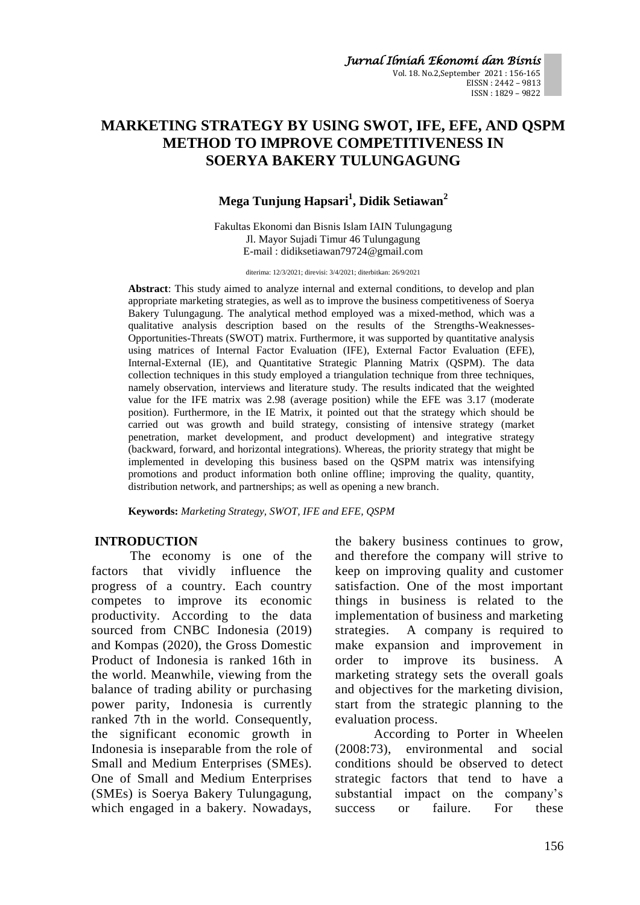*Jurnal Ilmiah Ekonomi dan Bisnis*  Vol. 18. No.2,September 2021 : 156-165 EISSN : 2442 – 9813 ISSN : 1829 – 9822

# **MARKETING STRATEGY BY USING SWOT, IFE, EFE, AND QSPM METHOD TO IMPROVE COMPETITIVENESS IN SOERYA BAKERY TULUNGAGUNG**

# **Mega Tunjung Hapsari<sup>1</sup> , Didik Setiawan<sup>2</sup>**

Fakultas Ekonomi dan Bisnis Islam IAIN Tulungagung Jl. Mayor Sujadi Timur 46 Tulungagung E-mail : didiksetiawan79724@gmail.com

diterima: 12/3/2021; direvisi: 3/4/2021; diterbitkan: 26/9/2021

**Abstract**: This study aimed to analyze internal and external conditions, to develop and plan appropriate marketing strategies, as well as to improve the business competitiveness of Soerya Bakery Tulungagung. The analytical method employed was a mixed-method, which was a qualitative analysis description based on the results of the Strengths-Weaknesses-Opportunities-Threats (SWOT) matrix. Furthermore, it was supported by quantitative analysis using matrices of Internal Factor Evaluation (IFE), External Factor Evaluation (EFE), Internal-External (IE), and Quantitative Strategic Planning Matrix (QSPM). The data collection techniques in this study employed a triangulation technique from three techniques, namely observation, interviews and literature study. The results indicated that the weighted value for the IFE matrix was 2.98 (average position) while the EFE was 3.17 (moderate position). Furthermore, in the IE Matrix, it pointed out that the strategy which should be carried out was growth and build strategy, consisting of intensive strategy (market penetration, market development, and product development) and integrative strategy (backward, forward, and horizontal integrations). Whereas, the priority strategy that might be implemented in developing this business based on the QSPM matrix was intensifying promotions and product information both online offline; improving the quality, quantity, distribution network, and partnerships; as well as opening a new branch.

**Keywords:** *Marketing Strategy, SWOT, IFE and EFE, QSPM*

## **INTRODUCTION**

The economy is one of the factors that vividly influence the progress of a country. Each country competes to improve its economic productivity. According to the data sourced from CNBC Indonesia (2019) and Kompas (2020), the Gross Domestic Product of Indonesia is ranked 16th in the world. Meanwhile, viewing from the balance of trading ability or purchasing power parity, Indonesia is currently ranked 7th in the world. Consequently, the significant economic growth in Indonesia is inseparable from the role of Small and Medium Enterprises (SMEs). One of Small and Medium Enterprises (SMEs) is Soerya Bakery Tulungagung, which engaged in a bakery. Nowadays, the bakery business continues to grow, and therefore the company will strive to keep on improving quality and customer satisfaction. One of the most important things in business is related to the implementation of business and marketing strategies. A company is required to make expansion and improvement in order to improve its business. A marketing strategy sets the overall goals and objectives for the marketing division, start from the strategic planning to the evaluation process.

According to Porter in Wheelen (2008:73), environmental and social conditions should be observed to detect strategic factors that tend to have a substantial impact on the company's success or failure. For these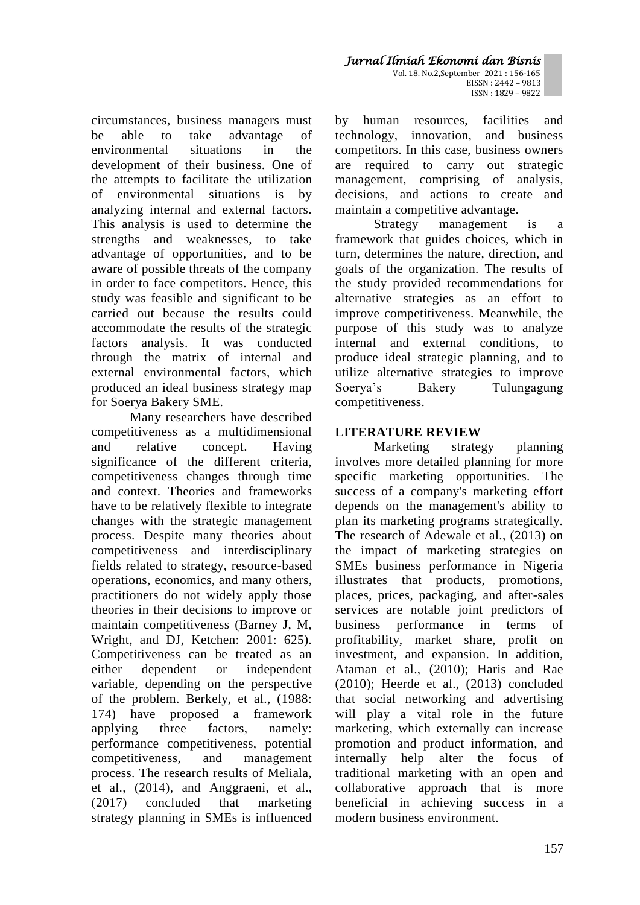circumstances, business managers must be able to take advantage of environmental situations in the development of their business. One of the attempts to facilitate the utilization of environmental situations is by analyzing internal and external factors. This analysis is used to determine the strengths and weaknesses, to take advantage of opportunities, and to be aware of possible threats of the company in order to face competitors. Hence, this study was feasible and significant to be carried out because the results could accommodate the results of the strategic factors analysis. It was conducted through the matrix of internal and external environmental factors, which produced an ideal business strategy map for Soerya Bakery SME.

Many researchers have described competitiveness as a multidimensional and relative concept. Having significance of the different criteria, competitiveness changes through time and context. Theories and frameworks have to be relatively flexible to integrate changes with the strategic management process. Despite many theories about competitiveness and interdisciplinary fields related to strategy, resource-based operations, economics, and many others, practitioners do not widely apply those theories in their decisions to improve or maintain competitiveness (Barney J, M, Wright, and DJ, Ketchen: 2001: 625). Competitiveness can be treated as an either dependent or independent variable, depending on the perspective of the problem. Berkely, et al., (1988: 174) have proposed a framework applying three factors, namely: performance competitiveness, potential competitiveness, and management process. The research results of Meliala, et al., (2014), and Anggraeni, et al., (2017) concluded that marketing strategy planning in SMEs is influenced by human resources, facilities and technology, innovation, and business competitors. In this case, business owners are required to carry out strategic management, comprising of analysis, decisions, and actions to create and maintain a competitive advantage.

Strategy management is a framework that guides choices, which in turn, determines the nature, direction, and goals of the organization. The results of the study provided recommendations for alternative strategies as an effort to improve competitiveness. Meanwhile, the purpose of this study was to analyze internal and external conditions, to produce ideal strategic planning, and to utilize alternative strategies to improve Soerya's Bakery Tulungagung competitiveness.

# **LITERATURE REVIEW**

Marketing strategy planning involves more detailed planning for more specific marketing opportunities. The success of a company's marketing effort depends on the management's ability to plan its marketing programs strategically. The research of Adewale et al., (2013) on the impact of marketing strategies on SMEs business performance in Nigeria illustrates that products, promotions, places, prices, packaging, and after-sales services are notable joint predictors of business performance in terms of profitability, market share, profit on investment, and expansion. In addition, Ataman et al., (2010); Haris and Rae (2010); Heerde et al., (2013) concluded that social networking and advertising will play a vital role in the future marketing, which externally can increase promotion and product information, and internally help alter the focus of traditional marketing with an open and collaborative approach that is more beneficial in achieving success in a modern business environment.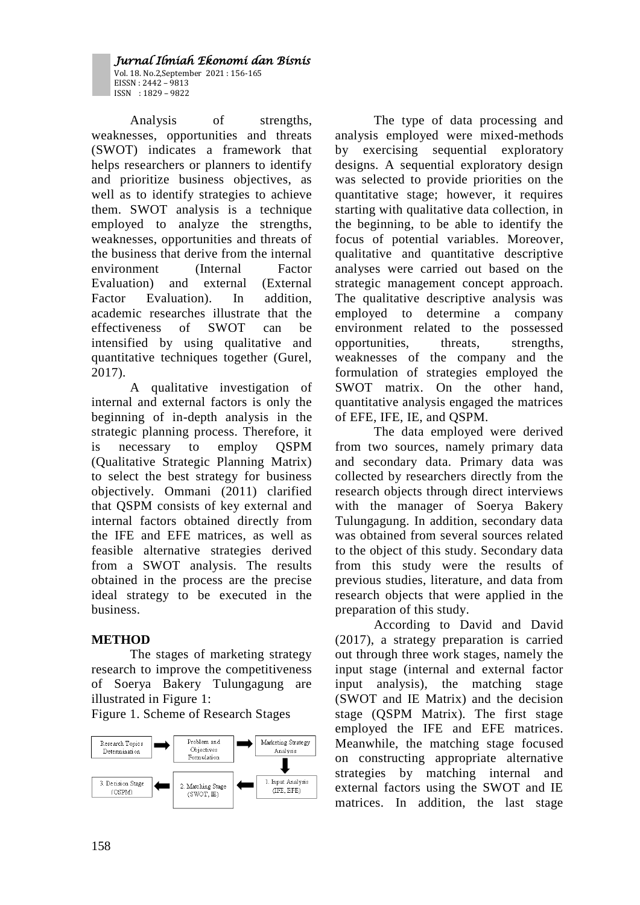*Jurnal Ilmiah Ekonomi dan Bisnis*  Vol. 18. No.2,September 2021 : 156-165 EISSN : 2442 – 9813 ISSN : 1829 – 9822

Analysis of strengths, weaknesses, opportunities and threats (SWOT) indicates a framework that helps researchers or planners to identify and prioritize business objectives, as well as to identify strategies to achieve them. SWOT analysis is a technique employed to analyze the strengths, weaknesses, opportunities and threats of the business that derive from the internal environment (Internal Factor Evaluation) and external (External Factor Evaluation). In addition, academic researches illustrate that the effectiveness of SWOT can be intensified by using qualitative and quantitative techniques together (Gurel, 2017).

A qualitative investigation of internal and external factors is only the beginning of in-depth analysis in the strategic planning process. Therefore, it is necessary to employ QSPM (Qualitative Strategic Planning Matrix) to select the best strategy for business objectively. Ommani (2011) clarified that QSPM consists of key external and internal factors obtained directly from the IFE and EFE matrices, as well as feasible alternative strategies derived from a SWOT analysis. The results obtained in the process are the precise ideal strategy to be executed in the business.

# **METHOD**

The stages of marketing strategy research to improve the competitiveness of Soerya Bakery Tulungagung are illustrated in Figure 1:

Figure 1. Scheme of Research Stages



The type of data processing and analysis employed were mixed-methods by exercising sequential exploratory designs. A sequential exploratory design was selected to provide priorities on the quantitative stage; however, it requires starting with qualitative data collection, in the beginning, to be able to identify the focus of potential variables. Moreover, qualitative and quantitative descriptive analyses were carried out based on the strategic management concept approach. The qualitative descriptive analysis was employed to determine a company environment related to the possessed opportunities, threats, strengths, weaknesses of the company and the formulation of strategies employed the SWOT matrix. On the other hand, quantitative analysis engaged the matrices of EFE, IFE, IE, and QSPM.

The data employed were derived from two sources, namely primary data and secondary data. Primary data was collected by researchers directly from the research objects through direct interviews with the manager of Soerya Bakery Tulungagung. In addition, secondary data was obtained from several sources related to the object of this study. Secondary data from this study were the results of previous studies, literature, and data from research objects that were applied in the preparation of this study.

According to David and David (2017), a strategy preparation is carried out through three work stages, namely the input stage (internal and external factor input analysis), the matching stage (SWOT and IE Matrix) and the decision stage (QSPM Matrix). The first stage employed the IFE and EFE matrices. Meanwhile, the matching stage focused on constructing appropriate alternative strategies by matching internal and external factors using the SWOT and IE matrices. In addition, the last stage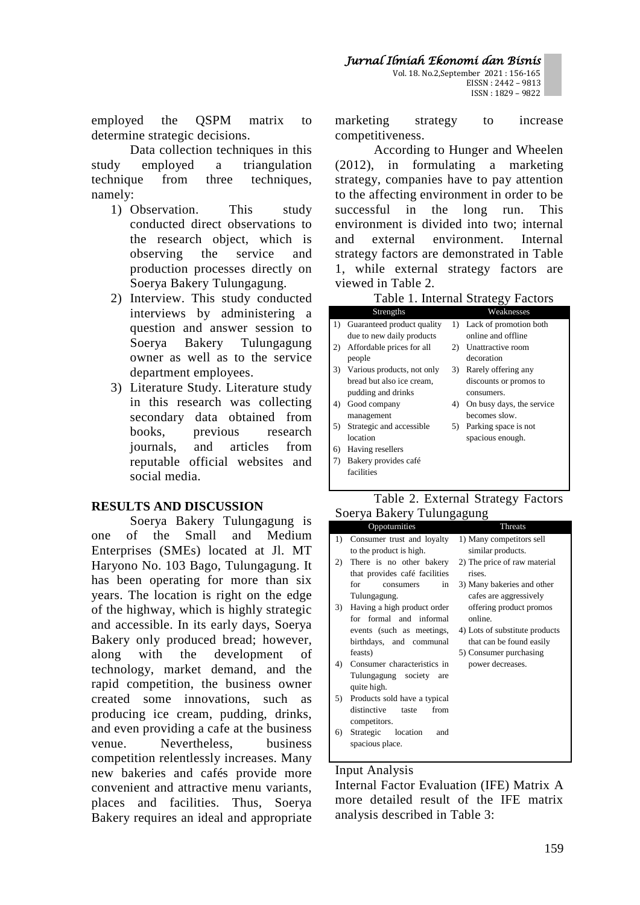employed the QSPM matrix to determine strategic decisions.

Data collection techniques in this study employed a triangulation technique from three techniques, namely:

- 1) Observation. This study conducted direct observations to the research object, which is observing the service and production processes directly on Soerya Bakery Tulungagung.
- 2) Interview. This study conducted interviews by administering a question and answer session to Soerya Bakery Tulungagung owner as well as to the service department employees.
- 3) Literature Study. Literature study in this research was collecting secondary data obtained from books, previous research journals, and articles from reputable official websites and social media.

## **RESULTS AND DISCUSSION**

Soerya Bakery Tulungagung is one of the Small and Medium Enterprises (SMEs) located at Jl. MT Haryono No. 103 Bago, Tulungagung. It has been operating for more than six years. The location is right on the edge of the highway, which is highly strategic and accessible. In its early days, Soerya Bakery only produced bread; however, along with the development of technology, market demand, and the rapid competition, the business owner created some innovations, such as producing ice cream, pudding, drinks, and even providing a cafe at the business venue. Nevertheless, business competition relentlessly increases. Many new bakeries and cafés provide more convenient and attractive menu variants, places and facilities. Thus, Soerya Bakery requires an ideal and appropriate marketing strategy to increase competitiveness.

According to Hunger and Wheelen (2012), in formulating a marketing strategy, companies have to pay attention to the affecting environment in order to be successful in the long run. This environment is divided into two; internal and external environment. Internal strategy factors are demonstrated in Table 1, while external strategy factors are viewed in Table 2.

|  |  | Table 1. Internal Strategy Factors |  |
|--|--|------------------------------------|--|
|--|--|------------------------------------|--|

|    |                            |    | ັັ                        |
|----|----------------------------|----|---------------------------|
|    | Strengths                  |    | Weaknesses                |
| 1) | Guaranteed product quality |    | 1) Lack of promotion both |
|    | due to new daily products  |    | online and offline        |
| 2) | Affordable prices for all  | 2) | Unattractive room         |
|    | people                     |    | decoration                |
| 3) | Various products, not only | 3) | Rarely offering any       |
|    | bread but also ice cream,  |    | discounts or promos to    |
|    | pudding and drinks         |    | consumers.                |
| 4) | Good company               | 4) | On busy days, the service |
|    | management                 |    | becomes slow.             |
| 5) | Strategic and accessible   | 5) | Parking space is not      |
|    | location                   |    | spacious enough.          |
| 6) | Having resellers           |    |                           |
| 7) | Bakery provides café       |    |                           |
|    | facilities                 |    |                           |
|    |                            |    |                           |

### Table 2. External Strategy Factors Soerya Bakery Tulungagung

|     | Oppoturnities                 | Threats                        |
|-----|-------------------------------|--------------------------------|
| 1)  | Consumer trust and loyalty    | 1) Many competitors sell       |
|     | to the product is high.       | similar products.              |
| 2)  | There is no other bakery      | 2) The price of raw material   |
|     | that provides café facilities | rises.                         |
|     | for<br>in<br>consumers        | 3) Many bakeries and other     |
|     | Tulungagung.                  | cafes are aggressively         |
| 3)  | Having a high product order   | offering product promos        |
|     | for formal and informal       | online.                        |
|     | events (such as meetings,     | 4) Lots of substitute products |
|     | birthdays, and communal       | that can be found easily       |
|     | feasts)                       | 5) Consumer purchasing         |
| 4). | Consumer characteristics in   | power decreases.               |
|     | Tulungagung society<br>are    |                                |
|     | quite high.                   |                                |
| 5)  | Products sold have a typical  |                                |
|     | distinctive<br>from<br>taste  |                                |
|     | competitors.                  |                                |
| 6)  | Strategic location<br>and     |                                |
|     | spacious place.               |                                |
|     |                               |                                |

### Input Analysis

Internal Factor Evaluation (IFE) Matrix A more detailed result of the IFE matrix analysis described in Table 3: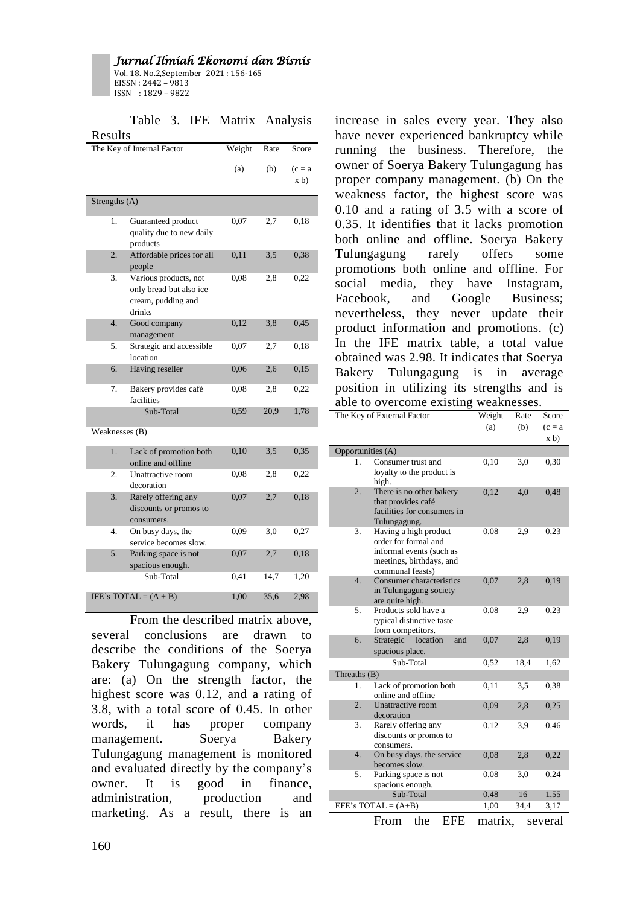Vol. 18. No.2,September 2021 : 156-165 EISSN : 2442 – 9813 ISSN : 1829 – 9822

Table 3. IFE Matrix Analysis Results

|                  | The Key of Internal Factor                                                       | Weight | Rate | Score             |
|------------------|----------------------------------------------------------------------------------|--------|------|-------------------|
|                  |                                                                                  | (a)    | (b)  | $(c = a)$<br>x b) |
| Strengths (A)    |                                                                                  |        |      |                   |
| 1.               | Guaranteed product<br>quality due to new daily<br>products                       | 0,07   | 2,7  | 0.18              |
| $\overline{2}$ . | Affordable prices for all<br>people                                              | 0,11   | 3,5  | 0,38              |
| 3.               | Various products, not<br>only bread but also ice<br>cream, pudding and<br>drinks | 0.08   | 2,8  | 0,22              |
| 4.               | Good company<br>management                                                       | 0,12   | 3,8  | 0,45              |
| 5.               | Strategic and accessible<br>location                                             | 0,07   | 2,7  | 0,18              |
| 6.               | Having reseller                                                                  | 0,06   | 2,6  | 0,15              |
| 7.               | Bakery provides café<br>facilities                                               | 0,08   | 2,8  | 0,22              |
|                  | Sub-Total                                                                        | 0,59   | 20,9 | 1,78              |
| Weaknesses (B)   |                                                                                  |        |      |                   |
| 1.               | Lack of promotion both<br>online and offline                                     | 0,10   | 3,5  | 0,35              |
| $\overline{2}$ . | Unattractive room<br>decoration                                                  | 0,08   | 2,8  | 0,22              |
| 3.               | Rarely offering any<br>discounts or promos to<br>consumers.                      | 0,07   | 2,7  | 0,18              |
| $\overline{4}$ . | On busy days, the<br>service becomes slow.                                       | 0,09   | 3,0  | 0,27              |
| 5.               | Parking space is not<br>spacious enough.                                         | 0,07   | 2,7  | 0,18              |
|                  | Sub-Total                                                                        | 0,41   | 14,7 | 1,20              |
|                  | IFE's TOTAL = $(A + B)$                                                          | 1,00   | 35,6 | 2,98              |

From the described matrix above, several conclusions are drawn to describe the conditions of the Soerya Bakery Tulungagung company, which are: (a) On the strength factor, the highest score was 0.12, and a rating of 3.8, with a total score of 0.45. In other words, it has proper company management. Soerya Bakery Tulungagung management is monitored and evaluated directly by the company's owner. It is good in finance, administration, production and marketing. As a result, there is an increase in sales every year. They also have never experienced bankruptcy while running the business. Therefore, the owner of Soerya Bakery Tulungagung has proper company management. (b) On the weakness factor, the highest score was 0.10 and a rating of 3.5 with a score of 0.35. It identifies that it lacks promotion both online and offline. Soerya Bakery Tulungagung rarely offers some promotions both online and offline. For social media, they have Instagram, Facebook, and Google Business; nevertheless, they never update their product information and promotions. (c) In the IFE matrix table, a total value obtained was 2.98. It indicates that Soerya Bakery Tulungagung is in average position in utilizing its strengths and is able to overcome existing weaknesses.

|                   | The Key of External Factor                                                                                                | Weight  | Rate | Score     |
|-------------------|---------------------------------------------------------------------------------------------------------------------------|---------|------|-----------|
|                   |                                                                                                                           | (a)     | (b)  | $(c = a)$ |
|                   |                                                                                                                           |         |      | (x b)     |
| Opportunities (A) |                                                                                                                           |         |      |           |
| 1.                | Consumer trust and<br>loyalty to the product is<br>high.                                                                  | 0.10    | 3,0  | 0,30      |
| $\overline{2}$ .  | There is no other bakery<br>that provides café<br>facilities for consumers in<br>Tulungagung.                             | 0,12    | 4,0  | 0,48      |
| 3.                | Having a high product<br>order for formal and<br>informal events (such as<br>meetings, birthdays, and<br>communal feasts) | 0,08    | 2,9  | 0,23      |
| $\overline{4}$ .  | Consumer characteristics<br>in Tulungagung society<br>are quite high.                                                     | 0,07    | 2,8  | 0,19      |
| 5.                | Products sold have a<br>typical distinctive taste<br>from competitors.                                                    | 0.08    | 2,9  | 0,23      |
| 6.                | Strategic<br>location<br>and<br>spacious place.                                                                           | 0,07    | 2,8  | 0,19      |
|                   | Sub-Total                                                                                                                 | 0.52    | 18,4 | 1,62      |
| Threaths (B)      |                                                                                                                           |         |      |           |
| 1.                | Lack of promotion both<br>online and offline                                                                              | 0,11    | 3,5  | 0,38      |
| $\overline{2}$ .  | Unattractive room<br>decoration                                                                                           | 0.09    | 2,8  | 0,25      |
| 3.                | Rarely offering any<br>discounts or promos to<br>consumers.                                                               | 0,12    | 3,9  | 0,46      |
| $\overline{4}$ .  | On busy days, the service<br>becomes slow.                                                                                | 0,08    | 2,8  | 0,22      |
| 5.                | Parking space is not<br>spacious enough.                                                                                  | 0,08    | 3,0  | 0,24      |
|                   | Sub-Total                                                                                                                 | 0,48    | 16   | 1,55      |
|                   | EFE's TOTAL = $(A+B)$                                                                                                     | 1,00    | 34,4 | 3,17      |
|                   | From<br>the<br>EFE                                                                                                        | matrix, |      | several   |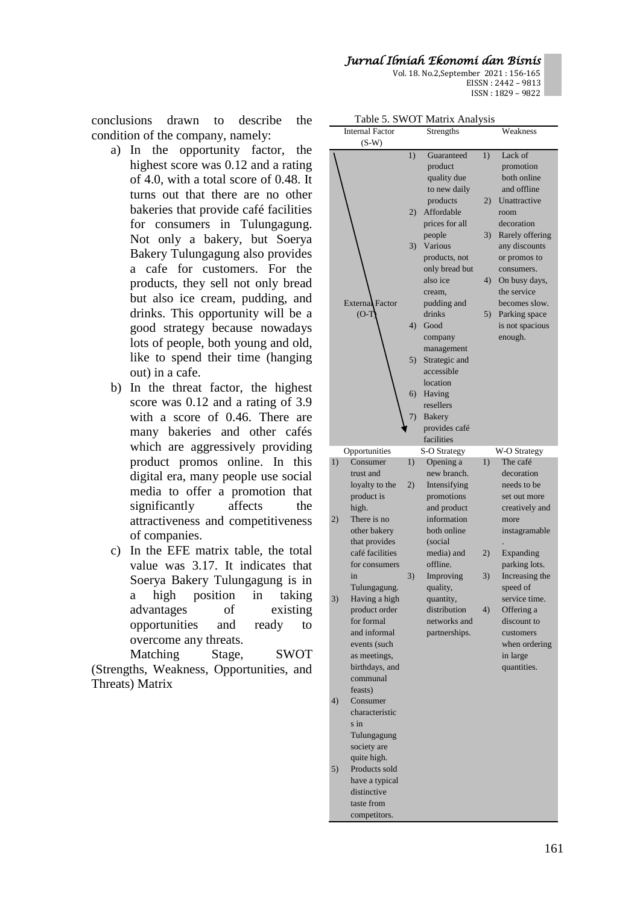Vol. 18. No.2,September 2021 : 156-165 EISSN : 2442 – 9813 ISSN : 1829 – 9822

conclusions drawn to describe the condition of the company, namely:

- a) In the opportunity factor, the highest score was 0.12 and a rating of 4.0, with a total score of 0.48. It turns out that there are no other bakeries that provide café facilities for consumers in Tulungagung. Not only a bakery, but Soerya Bakery Tulungagung also provides a cafe for customers. For the products, they sell not only bread but also ice cream, pudding, and drinks. This opportunity will be a good strategy because nowadays lots of people, both young and old, like to spend their time (hanging out) in a cafe.
- b) In the threat factor, the highest score was 0.12 and a rating of 3.9 with a score of 0.46. There are many bakeries and other cafés which are aggressively providing product promos online. In this digital era, many people use social media to offer a promotion that significantly affects the attractiveness and competitiveness of companies.
- c) In the EFE matrix table, the total value was 3.17. It indicates that Soerya Bakery Tulungagung is in a high position in taking advantages of existing opportunities and ready to overcome any threats.

Matching Stage, SWOT (Strengths, Weakness, Opportunities, and Threats) Matrix

| LAVIC J. S WUL MAUIA AIIALYSIS    |    |                |    |                 |
|-----------------------------------|----|----------------|----|-----------------|
| <b>Internal Factor</b><br>$(S-W)$ |    | Strengths      |    | Weakness        |
|                                   | 1) | Guaranteed     | 1) | Lack of         |
|                                   |    | product        |    | promotion       |
|                                   |    | quality due    |    | both online     |
|                                   |    |                |    |                 |
|                                   |    | to new daily   |    | and offline     |
|                                   |    | products       | 2) | Unattractive    |
|                                   | 2) | Affordable     |    | room            |
|                                   |    | prices for all |    | decoration      |
|                                   |    | people         | 3) | Rarely offering |
|                                   | 3) | Various        |    | any discounts   |
|                                   |    | products, not  |    | or promos to    |
|                                   |    | only bread but |    | consumers.      |
|                                   |    | also ice       | 4) | On busy days,   |
|                                   |    | cream,         |    | the service     |
| External Factor                   |    | pudding and    |    | becomes slow.   |
| $(O-T)$                           |    | drinks         | 5) | Parking space   |
|                                   | 4) | Good           |    | is not spacious |
|                                   |    | company        |    | enough.         |
|                                   |    | management     |    |                 |
|                                   | 5) | Strategic and  |    |                 |
|                                   |    | accessible     |    |                 |
|                                   |    | location       |    |                 |
|                                   | 6) | Having         |    |                 |
|                                   |    | resellers      |    |                 |
|                                   | 7) | <b>Bakery</b>  |    |                 |
|                                   |    | provides café  |    |                 |
|                                   |    | facilities     |    |                 |
| Opportunities                     |    | S-O Strategy   |    | W-O Strategy    |
| 1)<br>Consumer                    | 1) | Opening a      | 1) | The café        |
| trust and                         |    | new branch.    |    | decoration      |
| loyalty to the                    | 2) | Intensifying   |    | needs to be     |
|                                   |    |                |    |                 |
|                                   |    |                |    |                 |
| product is                        |    | promotions     |    | set out more    |
| high.                             |    | and product    |    | creatively and  |
| 2)<br>There is no                 |    | information    |    | more            |
| other bakery                      |    | both online    |    | instagramable   |
| that provides                     |    | (social        |    |                 |
| café facilities                   |    | media) and     | 2) | Expanding       |
| for consumers                     |    | offline.       |    | parking lots.   |
| in                                | 3) | Improving      | 3) | Increasing the  |
| Tulungagung.                      |    | quality,       |    | speed of        |
| 3)<br>Having a high               |    | quantity,      |    | service time.   |
| product order                     |    | distribution   | 4) | Offering a      |
| for formal                        |    | networks and   |    | discount to     |
| and informal                      |    | partnerships.  |    | customers       |
| events (such                      |    |                |    | when ordering   |
| as meetings,                      |    |                |    | in large        |
| birthdays, and                    |    |                |    | quantities.     |
| communal                          |    |                |    |                 |
| feasts)                           |    |                |    |                 |
| 4)<br>Consumer                    |    |                |    |                 |
| characteristic                    |    |                |    |                 |
| s in                              |    |                |    |                 |
| Tulungagung                       |    |                |    |                 |
| society are                       |    |                |    |                 |
| quite high.                       |    |                |    |                 |
| Products sold<br>5)               |    |                |    |                 |
| have a typical                    |    |                |    |                 |
| distinctive                       |    |                |    |                 |
| taste from                        |    |                |    |                 |

| Table 5. SWOT Matrix Analysis |  |  |  |
|-------------------------------|--|--|--|
|-------------------------------|--|--|--|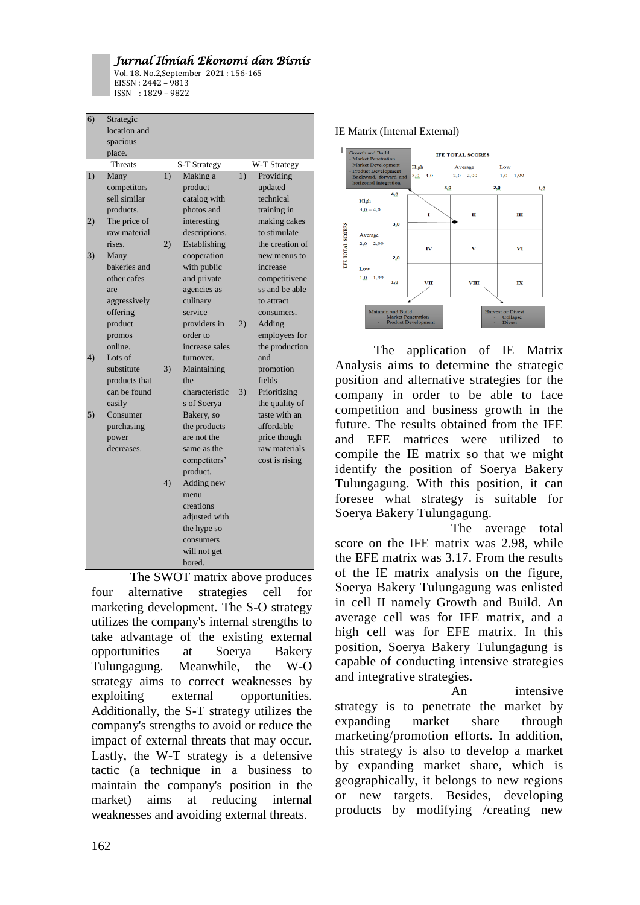Vol. 18. No.2,September 2021 : 156-165 EISSN : 2442 – 9813 ISSN : 1829 – 9822

| 6) | Strategic     |    |                        |    |                 |
|----|---------------|----|------------------------|----|-----------------|
|    | location and  |    |                        |    |                 |
|    | spacious      |    |                        |    |                 |
|    | place.        |    |                        |    |                 |
|    | Threats       |    | S-T Strategy           |    | W-T Strategy    |
| 1) | Many          | 1) | Making a               | 1) | Providing       |
|    | competitors   |    | product                |    | updated         |
|    | sell similar  |    | catalog with           |    | technical       |
|    | products.     |    | photos and             |    | training in     |
| 2) | The price of  |    | interesting            |    | making cakes    |
|    | raw material  |    | descriptions.          |    | to stimulate    |
|    | rises.        | 2) | Establishing           |    | the creation of |
| 3) | Many          |    | cooperation            |    | new menus to    |
|    | bakeries and  |    | with public            |    | increase        |
|    | other cafes   |    | and private            |    | competitivene   |
|    | are           |    | agencies as            |    | ss and be able  |
|    | aggressively  |    | culinary               |    | to attract      |
|    | offering      |    | service                |    | consumers.      |
|    | product       |    | providers in           | 2) | Adding          |
|    | promos        |    | order to               |    | employees for   |
|    | online.       |    | increase sales         |    | the production  |
| 4) | Lots of       |    | turnover.              |    | and             |
|    | substitute    | 3) | Maintaining            |    | promotion       |
|    | products that |    | the                    |    | fields          |
|    | can be found  |    | characteristic         | 3) | Prioritizing    |
|    | easily        |    | s of Soerya            |    | the quality of  |
| 5) | Consumer      |    | Bakery, so             |    | taste with an   |
|    | purchasing    |    | the products           |    | affordable      |
|    | power         |    | are not the            |    | price though    |
|    | decreases.    |    | same as the            |    | raw materials   |
|    |               |    | competitors'           |    | cost is rising  |
|    |               | 4) | product.<br>Adding new |    |                 |
|    |               |    | menu                   |    |                 |
|    |               |    | creations              |    |                 |
|    |               |    | adjusted with          |    |                 |
|    |               |    | the hype so            |    |                 |
|    |               |    | consumers              |    |                 |
|    |               |    | will not get           |    |                 |
|    |               |    | bored.                 |    |                 |
|    |               |    |                        |    |                 |

The SWOT matrix above produces four alternative strategies cell for marketing development. The S-O strategy utilizes the company's internal strengths to take advantage of the existing external opportunities at Soerya Bakery Tulungagung. Meanwhile, the W-O strategy aims to correct weaknesses by exploiting external opportunities. Additionally, the S-T strategy utilizes the company's strengths to avoid or reduce the impact of external threats that may occur. Lastly, the W-T strategy is a defensive tactic (a technique in a business to maintain the company's position in the market) aims at reducing internal weaknesses and avoiding external threats.

#### IE Matrix (Internal External)



The application of IE Matrix Analysis aims to determine the strategic position and alternative strategies for the company in order to be able to face competition and business growth in the future. The results obtained from the IFE and EFE matrices were utilized to compile the IE matrix so that we might identify the position of Soerya Bakery Tulungagung. With this position, it can foresee what strategy is suitable for Soerya Bakery Tulungagung.

The average total score on the IFE matrix was 2.98, while the EFE matrix was 3.17. From the results of the IE matrix analysis on the figure, Soerya Bakery Tulungagung was enlisted in cell II namely Growth and Build. An average cell was for IFE matrix, and a high cell was for EFE matrix. In this position, Soerya Bakery Tulungagung is capable of conducting intensive strategies and integrative strategies.

An intensive strategy is to penetrate the market by expanding market share through marketing/promotion efforts. In addition, this strategy is also to develop a market by expanding market share, which is geographically, it belongs to new regions or new targets. Besides, developing products by modifying /creating new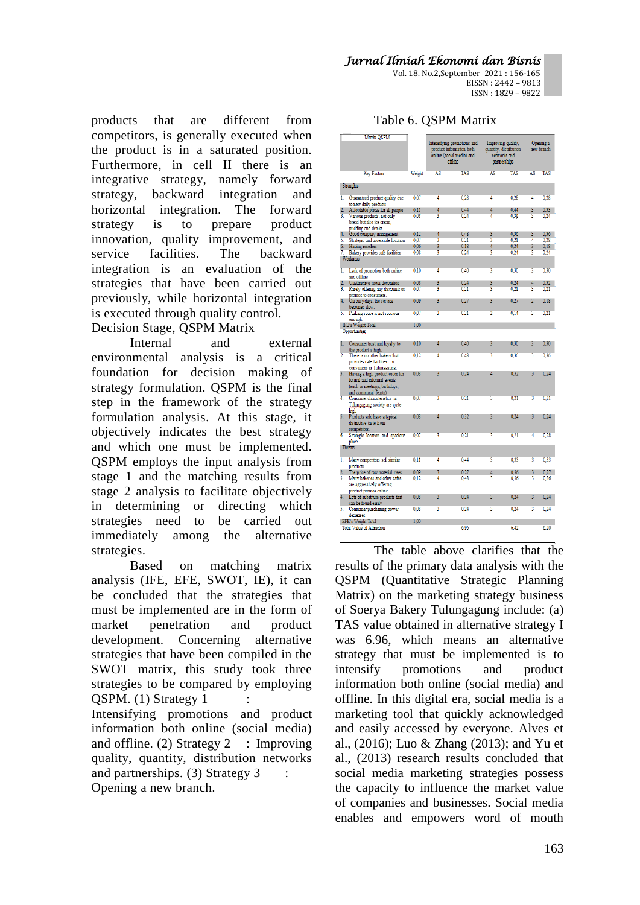Vol. 18. No.2,September 2021 : 156-165 EISSN : 2442 – 9813 ISSN : 1829 – 9822

products that are different from competitors, is generally executed when the product is in a saturated position. Furthermore, in cell II there is an integrative strategy, namely forward strategy, backward integration and horizontal integration. The forward strategy is to prepare product innovation, quality improvement, and service facilities. The backward integration is an evaluation of the strategies that have been carried out previously, while horizontal integration is executed through quality control.

Decision Stage, QSPM Matrix

Internal and external environmental analysis is a critical foundation for decision making of strategy formulation. QSPM is the final step in the framework of the strategy formulation analysis. At this stage, it objectively indicates the best strategy and which one must be implemented. QSPM employs the input analysis from stage 1 and the matching results from stage 2 analysis to facilitate objectively in determining or directing which strategies need to be carried out immediately among the alternative strategies.

Based on matching matrix analysis (IFE, EFE, SWOT, IE), it can be concluded that the strategies that must be implemented are in the form of market penetration and product development. Concerning alternative strategies that have been compiled in the SWOT matrix, this study took three strategies to be compared by employing QSPM. (1) Strategy 1 :

Intensifying promotions and product information both online (social media) and offline. (2) Strategy  $2$  : Improving quality, quantity, distribution networks and partnerships. (3) Strategy 3 Opening a new branch.

| Table 6. QSPM Matrix |  |  |
|----------------------|--|--|
|----------------------|--|--|

|                         | Matrix QSPM                                                                                                            |        |                                                                                                                                                                                 |            |                |                         |                         |            |
|-------------------------|------------------------------------------------------------------------------------------------------------------------|--------|---------------------------------------------------------------------------------------------------------------------------------------------------------------------------------|------------|----------------|-------------------------|-------------------------|------------|
|                         |                                                                                                                        |        | Intensifying promotions and<br>Improving quality,<br>product information both<br>quantity, distribution<br>online (social media) and<br>networks and<br>offline<br>partnerships |            |                | Opening a<br>new branch |                         |            |
|                         | <b>Key Factors</b>                                                                                                     | Weight | AS                                                                                                                                                                              | <b>TAS</b> | AS             | <b>TAS</b>              | AS                      | <b>TAS</b> |
|                         | Strenghts                                                                                                              |        |                                                                                                                                                                                 |            |                |                         |                         |            |
| 1.                      | Guaranteed product quality due<br>to new daily products                                                                | 0,07   | 4                                                                                                                                                                               | 0.28       | 4              | 0.28                    | 4                       | 0.28       |
|                         | Affordable prices for all people                                                                                       | 0.11   | 4                                                                                                                                                                               | 0.44       | 4              | 0.44                    | 3                       | 0.33       |
| $\overline{\mathbf{3}}$ | Various products, not only<br>bread but also ice cream.<br>pudding and drinks                                          | 0.08   | ä                                                                                                                                                                               | 0.24       | 4              | 0.30                    | 3                       | 0,24       |
| 4.                      | Good company management                                                                                                | 0.12   | 4                                                                                                                                                                               | 0.48       | 3              | 0.36                    | 3                       | 0.36       |
| 5.                      | Strategic and accessible location                                                                                      | 0.07   | 3                                                                                                                                                                               | 0.21       | 3              | 0.21                    | 4                       | 0.28       |
| 6.                      | Having resellers                                                                                                       | 0.06   | 3<br>Ŧ                                                                                                                                                                          | 0.18       | 4<br>ţ         | 0.24                    | 3                       | 0,18       |
| 7.                      | Bakery provides café facilities<br><b>Weakness</b>                                                                     | 0.08   |                                                                                                                                                                                 | 0.24       |                | 0.24                    | 3                       | 0.24       |
| 1.                      | Lack of promotion both online<br>and offline                                                                           | 0.10   | 4                                                                                                                                                                               | 0.40       | 3              | 0.30                    | 3                       | 0.30       |
| 2.                      | Unattractive room decoration                                                                                           | 0.08   | 3                                                                                                                                                                               | 0.24       | 3              | 0.24                    | 4                       | 0.32       |
| Ŧ                       | Rarely offering any discounts or<br>promos to consumers.                                                               | 0.07   | ţ                                                                                                                                                                               | 0.21       | 3              | 0.21                    | 3                       | 0.21       |
| 4.                      | On busy days, the service<br>becomes slow.                                                                             | 0.09   | 3                                                                                                                                                                               | 0.27       | 3              | 0.27                    | $\overline{2}$          | 0.18       |
| 5.                      | Parking space is not spacious<br>enough.                                                                               | 0.07   | Ŧ                                                                                                                                                                               | 0.21       | $\overline{2}$ | 0.14                    | $\overline{\mathbf{3}}$ | 0.21       |
|                         | <b>IFE's Weight Total</b>                                                                                              | 1.00   |                                                                                                                                                                                 |            |                |                         |                         |            |
|                         | <b>Opportunities</b>                                                                                                   |        |                                                                                                                                                                                 |            |                |                         |                         |            |
| 1.                      | Consumer trust and loyalty to<br>the product is high.                                                                  | 0.10   | 4                                                                                                                                                                               | 0.40       | 3              | 0.30                    | 3                       | 0.30       |
| $\overline{2}$          | There is no other bakery that<br>provides café facilities for<br>consumers in Tulungagung.                             | 0.12   | 4                                                                                                                                                                               | 0.48       | 3              | 0.36                    | 3                       | 0.36       |
| 3.                      | Having a high product order for<br>formal and informal events<br>(such as meetings, birthdays,<br>and communal feasts) | 0.08   | 3                                                                                                                                                                               | 0.24       | 4              | 0.32                    | 3                       | 0,24       |
| 4.                      | Consumer characteristics in<br>Tulungagung society are quite<br>high                                                   | 0.07   | 3                                                                                                                                                                               | 0.21       | 3              | 0.21                    | 3                       | 0.21       |
| 5.                      | Products sold have a typical<br>distinctive taste from<br>competitors.                                                 | 0.08   | 4                                                                                                                                                                               | 0.32       | 3              | 0.24                    | 3                       | 0.24       |
| 6.                      | Strategic location and spacious<br>place.                                                                              | 0.07   | 3                                                                                                                                                                               | 0.21       | 3              | 0.21                    | 4                       | 0.28       |
|                         | <b>Threats</b>                                                                                                         |        |                                                                                                                                                                                 |            |                |                         |                         |            |
| ī.                      | Many competitors sell similar<br>products.                                                                             | 0.11   | 4                                                                                                                                                                               | 0.44       | 3              | 0.33                    | 3                       | 0,33       |
| $\overline{2}$ .        | The price of raw material rises.                                                                                       | 0.09   | 3                                                                                                                                                                               | 0 27       | $\overline{4}$ | 0.36                    | 3                       | 0.27       |
| 3.                      | Many bakeries and other cafes<br>are aggressively offering<br>product promos online.                                   | 0.12   | 4                                                                                                                                                                               | 0.48       | 3              | 0.36                    | 3                       | 0.36       |
| 4.                      | Lots of substitute products that<br>can be found easily                                                                | 0.08   | 3                                                                                                                                                                               | 0.24       | 3              | 0.24                    | 3                       | 0.24       |
| 5.                      | Consumer purchasing power<br>decreases.                                                                                | 0.08   | Ŧ                                                                                                                                                                               | 0.24       | 3              | 0.24                    | Ŧ                       | 0.24       |
|                         | EFE's Weight Total                                                                                                     | 1.00   |                                                                                                                                                                                 |            |                |                         |                         |            |
|                         | <b>Total Value of Attraction</b>                                                                                       |        |                                                                                                                                                                                 | 6.96       |                | 6.42                    |                         | 6.20       |

The table above clarifies that the results of the primary data analysis with the QSPM (Quantitative Strategic Planning Matrix) on the marketing strategy business of Soerya Bakery Tulungagung include: (a) TAS value obtained in alternative strategy I was 6.96, which means an alternative strategy that must be implemented is to intensify promotions and product information both online (social media) and offline. In this digital era, social media is a marketing tool that quickly acknowledged and easily accessed by everyone. Alves et al., (2016); Luo & Zhang (2013); and Yu et al., (2013) research results concluded that social media marketing strategies possess the capacity to influence the market value of companies and businesses. Social media enables and empowers word of mouth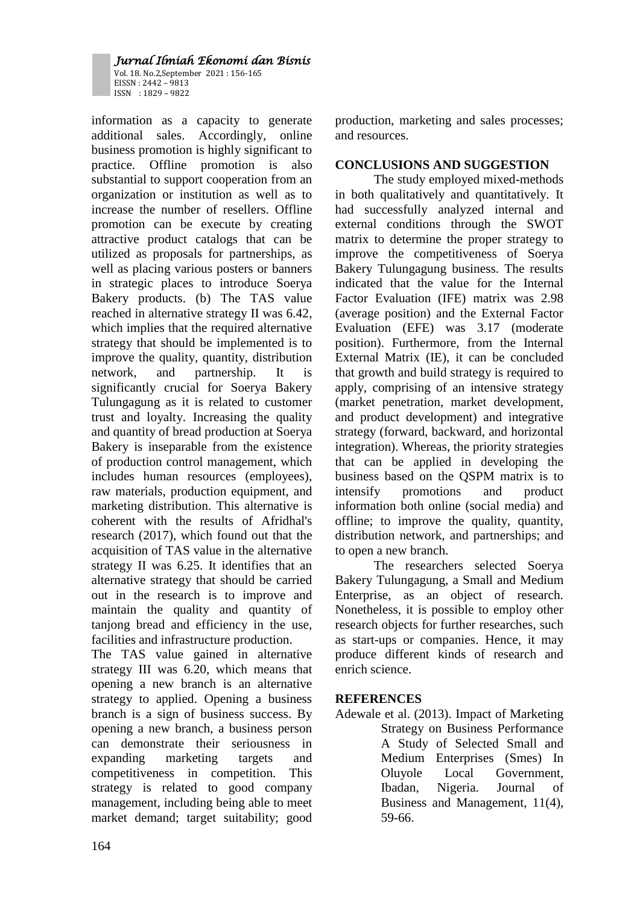Vol. 18. No.2,September 2021 : 156-165 EISSN : 2442 – 9813 ISSN : 1829 – 9822

information as a capacity to generate additional sales. Accordingly, online business promotion is highly significant to practice. Offline promotion is also substantial to support cooperation from an organization or institution as well as to increase the number of resellers. Offline promotion can be execute by creating attractive product catalogs that can be utilized as proposals for partnerships, as well as placing various posters or banners in strategic places to introduce Soerya Bakery products. (b) The TAS value reached in alternative strategy II was 6.42, which implies that the required alternative strategy that should be implemented is to improve the quality, quantity, distribution network, and partnership. It is significantly crucial for Soerya Bakery Tulungagung as it is related to customer trust and loyalty. Increasing the quality and quantity of bread production at Soerya Bakery is inseparable from the existence of production control management, which includes human resources (employees), raw materials, production equipment, and marketing distribution. This alternative is coherent with the results of Afridhal's research (2017), which found out that the acquisition of TAS value in the alternative strategy II was 6.25. It identifies that an alternative strategy that should be carried out in the research is to improve and maintain the quality and quantity of tanjong bread and efficiency in the use, facilities and infrastructure production.

The TAS value gained in alternative strategy III was 6.20, which means that opening a new branch is an alternative strategy to applied. Opening a business branch is a sign of business success. By opening a new branch, a business person can demonstrate their seriousness in expanding marketing targets and competitiveness in competition. This strategy is related to good company management, including being able to meet market demand; target suitability; good

production, marketing and sales processes; and resources.

## **CONCLUSIONS AND SUGGESTION**

The study employed mixed-methods in both qualitatively and quantitatively. It had successfully analyzed internal and external conditions through the SWOT matrix to determine the proper strategy to improve the competitiveness of Soerya Bakery Tulungagung business. The results indicated that the value for the Internal Factor Evaluation (IFE) matrix was 2.98 (average position) and the External Factor Evaluation (EFE) was 3.17 (moderate position). Furthermore, from the Internal External Matrix (IE), it can be concluded that growth and build strategy is required to apply, comprising of an intensive strategy (market penetration, market development, and product development) and integrative strategy (forward, backward, and horizontal integration). Whereas, the priority strategies that can be applied in developing the business based on the QSPM matrix is to intensify promotions and product information both online (social media) and offline; to improve the quality, quantity, distribution network, and partnerships; and to open a new branch.

The researchers selected Soerya Bakery Tulungagung, a Small and Medium Enterprise, as an object of research. Nonetheless, it is possible to employ other research objects for further researches, such as start-ups or companies. Hence, it may produce different kinds of research and enrich science.

# **REFERENCES**

Adewale et al. (2013). Impact of Marketing Strategy on Business Performance A Study of Selected Small and Medium Enterprises (Smes) In Oluyole Local Government, Ibadan, Nigeria. Journal of Business and Management, 11(4), 59-66.